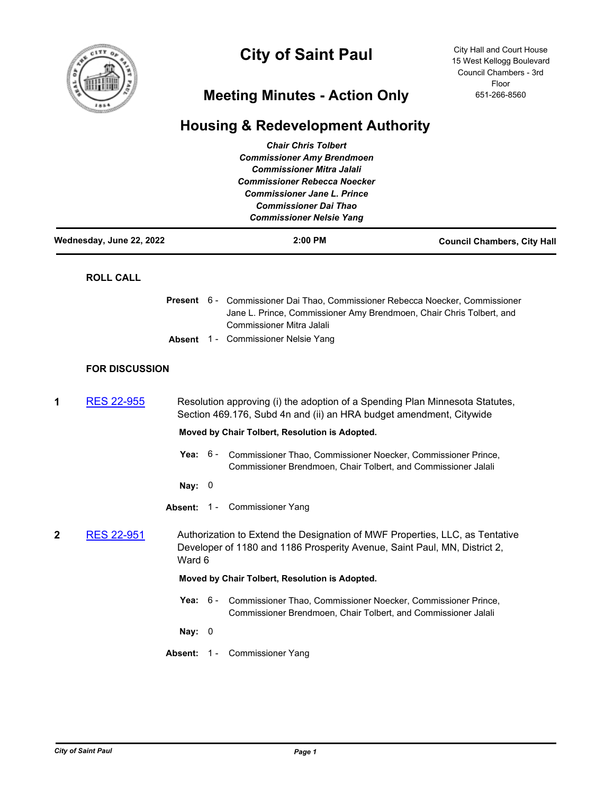

# **City of Saint Paul**

City Hall and Court House 15 West Kellogg Boulevard Council Chambers - 3rd Floor 651-266-8560

### **Meeting Minutes - Action Only**

## **Housing & Redevelopment Authority**

|                          |                       |                                                                                                                                                     |                                                                                                                                                                     | <b>Chair Chris Tolbert</b><br><b>Commissioner Amy Brendmoen</b><br><b>Commissioner Mitra Jalali</b><br><b>Commissioner Rebecca Noecker</b><br><b>Commissioner Jane L. Prince</b><br><b>Commissioner Dai Thao</b><br><b>Commissioner Nelsie Yang</b> |                                    |  |
|--------------------------|-----------------------|-----------------------------------------------------------------------------------------------------------------------------------------------------|---------------------------------------------------------------------------------------------------------------------------------------------------------------------|-----------------------------------------------------------------------------------------------------------------------------------------------------------------------------------------------------------------------------------------------------|------------------------------------|--|
| Wednesday, June 22, 2022 |                       |                                                                                                                                                     |                                                                                                                                                                     | 2:00 PM                                                                                                                                                                                                                                             | <b>Council Chambers, City Hall</b> |  |
|                          | <b>ROLL CALL</b>      |                                                                                                                                                     |                                                                                                                                                                     |                                                                                                                                                                                                                                                     |                                    |  |
|                          |                       |                                                                                                                                                     |                                                                                                                                                                     | Present 6 - Commissioner Dai Thao, Commissioner Rebecca Noecker, Commissioner<br>Jane L. Prince, Commissioner Amy Brendmoen, Chair Chris Tolbert, and<br><b>Commissioner Mitra Jalali</b>                                                           |                                    |  |
|                          |                       |                                                                                                                                                     |                                                                                                                                                                     | Absent 1 - Commissioner Nelsie Yang                                                                                                                                                                                                                 |                                    |  |
|                          | <b>FOR DISCUSSION</b> |                                                                                                                                                     |                                                                                                                                                                     |                                                                                                                                                                                                                                                     |                                    |  |
| 1                        | <b>RES 22-955</b>     | Resolution approving (i) the adoption of a Spending Plan Minnesota Statutes,<br>Section 469.176, Subd 4n and (ii) an HRA budget amendment, Citywide |                                                                                                                                                                     |                                                                                                                                                                                                                                                     |                                    |  |
|                          |                       |                                                                                                                                                     |                                                                                                                                                                     | Moved by Chair Tolbert, Resolution is Adopted.                                                                                                                                                                                                      |                                    |  |
|                          |                       | Yea: $6-$                                                                                                                                           |                                                                                                                                                                     | Commissioner Thao, Commissioner Noecker, Commissioner Prince,<br>Commissioner Brendmoen, Chair Tolbert, and Commissioner Jalali                                                                                                                     |                                    |  |
|                          |                       | Nay: $0$                                                                                                                                            |                                                                                                                                                                     |                                                                                                                                                                                                                                                     |                                    |  |
|                          |                       |                                                                                                                                                     |                                                                                                                                                                     | Absent: 1 - Commissioner Yang                                                                                                                                                                                                                       |                                    |  |
| 2                        | <b>RES 22-951</b>     |                                                                                                                                                     | Authorization to Extend the Designation of MWF Properties, LLC, as Tentative<br>Developer of 1180 and 1186 Prosperity Avenue, Saint Paul, MN, District 2,<br>Ward 6 |                                                                                                                                                                                                                                                     |                                    |  |
|                          |                       |                                                                                                                                                     | Moved by Chair Tolbert, Resolution is Adopted.                                                                                                                      |                                                                                                                                                                                                                                                     |                                    |  |
|                          |                       | Yea: $6-$                                                                                                                                           |                                                                                                                                                                     | Commissioner Thao, Commissioner Noecker, Commissioner Prince,<br>Commissioner Brendmoen, Chair Tolbert, and Commissioner Jalali                                                                                                                     |                                    |  |
|                          |                       | Nay: $0$                                                                                                                                            |                                                                                                                                                                     |                                                                                                                                                                                                                                                     |                                    |  |
|                          |                       | Absent: 1 -                                                                                                                                         |                                                                                                                                                                     | <b>Commissioner Yang</b>                                                                                                                                                                                                                            |                                    |  |